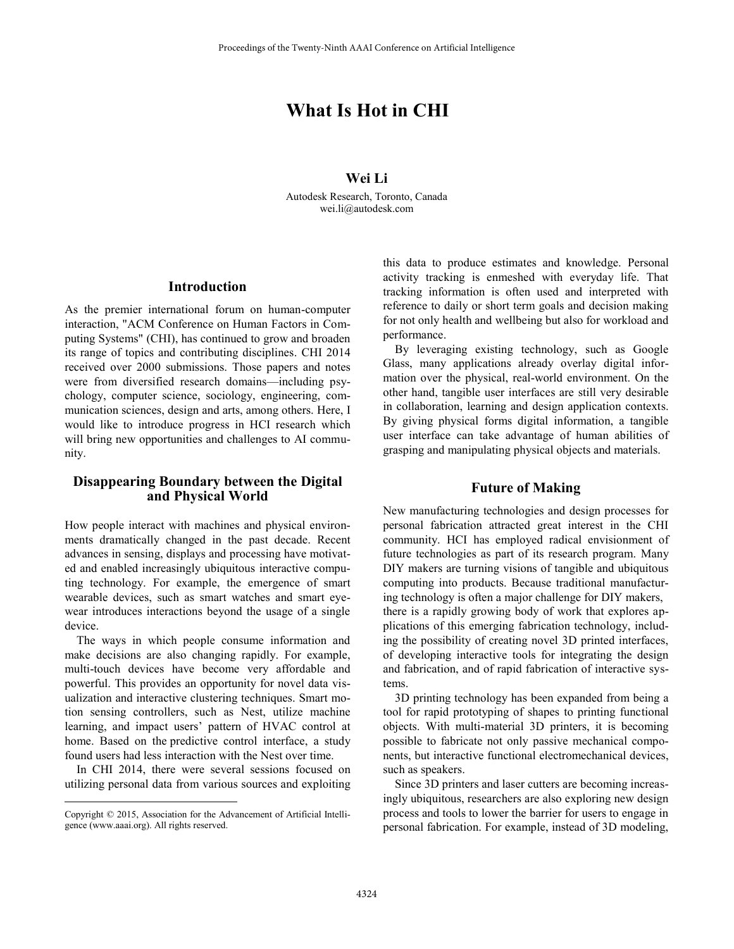# **What Is Hot in CHI**

## **Wei Li**

Autodesk Research, Toronto, Canada wei.li@autodesk.com

## **Introduction**

As the premier international forum on human-computer interaction, "ACM Conference on Human Factors in Computing Systems" (CHI), has continued to grow and broaden its range of topics and contributing disciplines. CHI 2014 received over 2000 submissions. Those papers and notes were from diversified research domains—including psychology, computer science, sociology, engineering, communication sciences, design and arts, among others. Here, I would like to introduce progress in HCI research which will bring new opportunities and challenges to AI community.

## **Disappearing Boundary between the Digital and Physical World**

How people interact with machines and physical environments dramatically changed in the past decade. Recent advances in sensing, displays and processing have motivated and enabled increasingly ubiquitous interactive computing technology. For example, the emergence of smart wearable devices, such as smart watches and smart eyewear introduces interactions beyond the usage of a single device.

 The ways in which people consume information and make decisions are also changing rapidly. For example, multi-touch devices have become very affordable and powerful. This provides an opportunity for novel data visualization and interactive clustering techniques. Smart motion sensing controllers, such as Nest, utilize machine learning, and impact users' pattern of HVAC control at home. Based on the predictive control interface, a study found users had less interaction with the Nest over time.

 In CHI 2014, there were several sessions focused on utilizing personal data from various sources and exploiting

 $\overline{a}$ 

this data to produce estimates and knowledge. Personal activity tracking is enmeshed with everyday life. That tracking information is often used and interpreted with reference to daily or short term goals and decision making for not only health and wellbeing but also for workload and performance.

 By leveraging existing technology, such as Google Glass, many applications already overlay digital information over the physical, real-world environment. On the other hand, tangible user interfaces are still very desirable in collaboration, learning and design application contexts. By giving physical forms digital information, a tangible user interface can take advantage of human abilities of grasping and manipulating physical objects and materials.

## **Future of Making**

New manufacturing technologies and design processes for personal fabrication attracted great interest in the CHI community. HCI has employed radical envisionment of future technologies as part of its research program. Many DIY makers are turning visions of tangible and ubiquitous computing into products. Because traditional manufacturing technology is often a major challenge for DIY makers, there is a rapidly growing body of work that explores applications of this emerging fabrication technology, including the possibility of creating novel 3D printed interfaces, of developing interactive tools for integrating the design and fabrication, and of rapid fabrication of interactive systems.

 3D printing technology has been expanded from being a tool for rapid prototyping of shapes to printing functional objects. With multi-material 3D printers, it is becoming possible to fabricate not only passive mechanical components, but interactive functional electromechanical devices, such as speakers.

 Since 3D printers and laser cutters are becoming increasingly ubiquitous, researchers are also exploring new design process and tools to lower the barrier for users to engage in personal fabrication. For example, instead of 3D modeling,

Copyright © 2015, Association for the Advancement of Artificial Intelligence (www.aaai.org). All rights reserved.